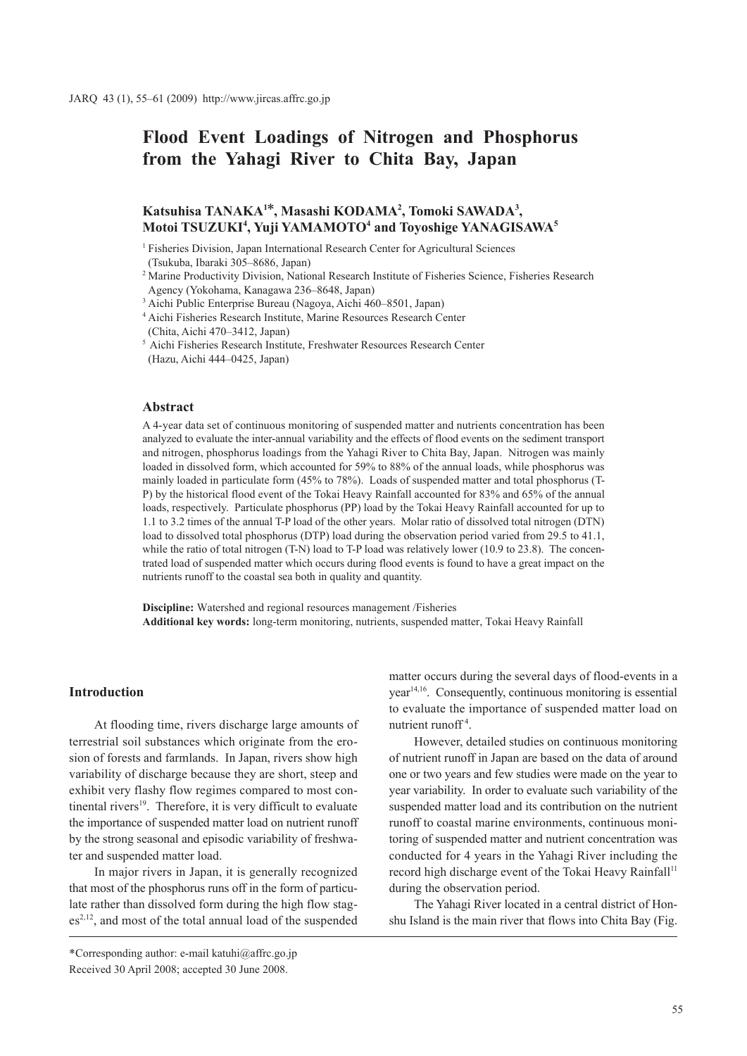# **Flood Event Loadings of Nitrogen and Phosphorus from the Yahagi River to Chita Bay, Japan**

# **Katsuhisa TANAKA1\*, Masashi KODAMA2 , Tomoki SAWADA3 , Motoi TSUZUKI4 , Yuji YAMAMOTO4 and Toyoshige YANAGISAWA5**

<sup>1</sup> Fisheries Division, Japan International Research Center for Agricultural Sciences (Tsukuba, Ibaraki 305–8686, Japan)

<sup>2</sup> Marine Productivity Division, National Research Institute of Fisheries Science, Fisheries Research Agency (Yokohama, Kanagawa 236–8648, Japan)

3 Aichi Public Enterprise Bureau (Nagoya, Aichi 460–8501, Japan)

<sup>4</sup> Aichi Fisheries Research Institute, Marine Resources Research Center

(Chita, Aichi 470–3412, Japan)<br>  $5$  Aichi Fisheries Research Institute, Freshwater Resources Research Center (Hazu, Aichi 444–0425, Japan)

# **Abstract**

A 4-year data set of continuous monitoring of suspended matter and nutrients concentration has been analyzed to evaluate the inter-annual variability and the effects of flood events on the sediment transport and nitrogen, phosphorus loadings from the Yahagi River to Chita Bay, Japan. Nitrogen was mainly loaded in dissolved form, which accounted for 59% to 88% of the annual loads, while phosphorus was mainly loaded in particulate form (45% to 78%). Loads of suspended matter and total phosphorus (T-P) by the historical flood event of the Tokai Heavy Rainfall accounted for 83% and 65% of the annual loads, respectively. Particulate phosphorus (PP) load by the Tokai Heavy Rainfall accounted for up to 1.1 to 3.2 times of the annual T-P load of the other years. Molar ratio of dissolved total nitrogen (DTN) load to dissolved total phosphorus (DTP) load during the observation period varied from 29.5 to 41.1, while the ratio of total nitrogen (T-N) load to T-P load was relatively lower (10.9 to 23.8). The concentrated load of suspended matter which occurs during flood events is found to have a great impact on the nutrients runoff to the coastal sea both in quality and quantity.

**Discipline:** Watershed and regional resources management /Fisheries **Additional key words:** long-term monitoring, nutrients, suspended matter, Tokai Heavy Rainfall

# **Introduction**

At flooding time, rivers discharge large amounts of terrestrial soil substances which originate from the erosion of forests and farmlands. In Japan, rivers show high variability of discharge because they are short, steep and exhibit very flashy flow regimes compared to most continental rivers $19$ . Therefore, it is very difficult to evaluate the importance of suspended matter load on nutrient runoff by the strong seasonal and episodic variability of freshwater and suspended matter load.

In major rivers in Japan, it is generally recognized that most of the phosphorus runs off in the form of particulate rather than dissolved form during the high flow stag $es<sup>2,12</sup>$ , and most of the total annual load of the suspended matter occurs during the several days of flood-events in a year<sup>14,16</sup>. Consequently, continuous monitoring is essential to evaluate the importance of suspended matter load on nutrient runoff<sup>4</sup>.

However, detailed studies on continuous monitoring of nutrient runoff in Japan are based on the data of around one or two years and few studies were made on the year to year variability. In order to evaluate such variability of the suspended matter load and its contribution on the nutrient runoff to coastal marine environments, continuous monitoring of suspended matter and nutrient concentration was conducted for 4 years in the Yahagi River including the record high discharge event of the Tokai Heavy Rainfall<sup>11</sup> during the observation period.

The Yahagi River located in a central district of Honshu Island is the main river that flows into Chita Bay (Fig.

<sup>\*</sup>Corresponding author: e-mail katuhi@affrc.go.jp Received 30 April 2008; accepted 30 June 2008.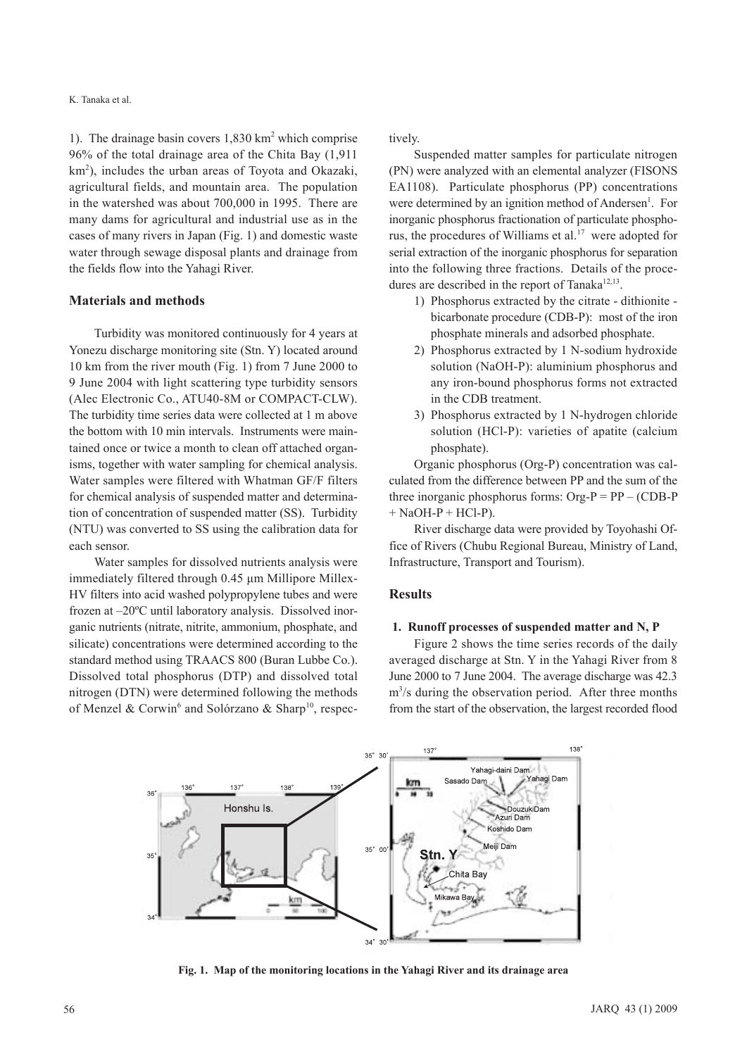#### K. Tanaka et al.

1). The drainage basin covers 1,830 km<sup>2</sup> which comprise 96% of the total drainage area of the Chita Bay (1,911 km<sup>2</sup>), includes the urban areas of Toyota and Okazaki, agricultural fields, and mountain area. The population in the watershed was about 700,000 in 1995. There are many dams for agricultural and industrial use as in the cases of many rivers in Japan (Fig. 1) and domestic waste water through sewage disposal plants and drainage from the fields flow into the Yahagi River.

### **Materials and methods**

Turbidity was monitored continuously for 4 years at Yonezu discharge monitoring site (Stn. Y) located around 10 km from the river mouth (Fig. 1) from 7 June 2000 to 9 June 2004 with light scattering type turbidity sensors (Alec Electronic Co., ATU40-8M or COMPACT-CLW). The turbidity time series data were collected at 1 m above the bottom with 10 min intervals. Instruments were maintained once or twice a month to clean off attached organisms, together with water sampling for chemical analysis. Water samples were filtered with Whatman GF/F filters for chemical analysis of suspended matter and determination of concentration of suspended matter (SS). Turbidity (NTU) was converted to SS using the calibration data for each sensor.

Water samples for dissolved nutrients analysis were immediately filtered through 0.45 μm Millipore Millex-HV filters into acid washed polypropylene tubes and were frozen at –20ºC until laboratory analysis. Dissolved inorganic nutrients (nitrate, nitrite, ammonium, phosphate, and silicate) concentrations were determined according to the standard method using TRAACS 800 (Buran Lubbe Co.). Dissolved total phosphorus (DTP) and dissolved total nitrogen (DTN) were determined following the methods of Menzel & Corwin<sup>6</sup> and Solórzano & Sharp<sup>10</sup>, respectively.

Suspended matter samples for particulate nitrogen (PN) were analyzed with an elemental analyzer (FISONS EA1108). Particulate phosphorus (PP) concentrations were determined by an ignition method of Andersen<sup>1</sup>. For inorganic phosphorus fractionation of particulate phosphorus, the procedures of Williams et al.<sup>17</sup> were adopted for serial extraction of the inorganic phosphorus for separation into the following three fractions. Details of the procedures are described in the report of Tanaka $12,13$ .

- 1) Phosphorus extracted by the citrate dithionite bicarbonate procedure (CDB-P): most of the iron phosphate minerals and adsorbed phosphate.
- 2) Phosphorus extracted by 1 N-sodium hydroxide solution (NaOH-P): aluminium phosphorus and any iron-bound phosphorus forms not extracted in the CDB treatment.
- 3) Phosphorus extracted by 1 N-hydrogen chloride solution (HCl-P): varieties of apatite (calcium phosphate).

Organic phosphorus (Org-P) concentration was calculated from the difference between PP and the sum of the three inorganic phosphorus forms:  $Org-P = PP - (CDB-P)$  $+$  NaOH-P + HCl-P).

River discharge data were provided by Toyohashi Office of Rivers (Chubu Regional Bureau, Ministry of Land, Infrastructure, Transport and Tourism).

#### **Results**

#### **1. Runoff processes of suspended matter and N, P**

Figure 2 shows the time series records of the daily averaged discharge at Stn. Y in the Yahagi River from 8 June 2000 to 7 June 2004. The average discharge was 42.3 m3 /s during the observation period. After three months from the start of the observation, the largest recorded flood



**Fig. 1. Map of the monitoring locations in the Yahagi River and its drainage area**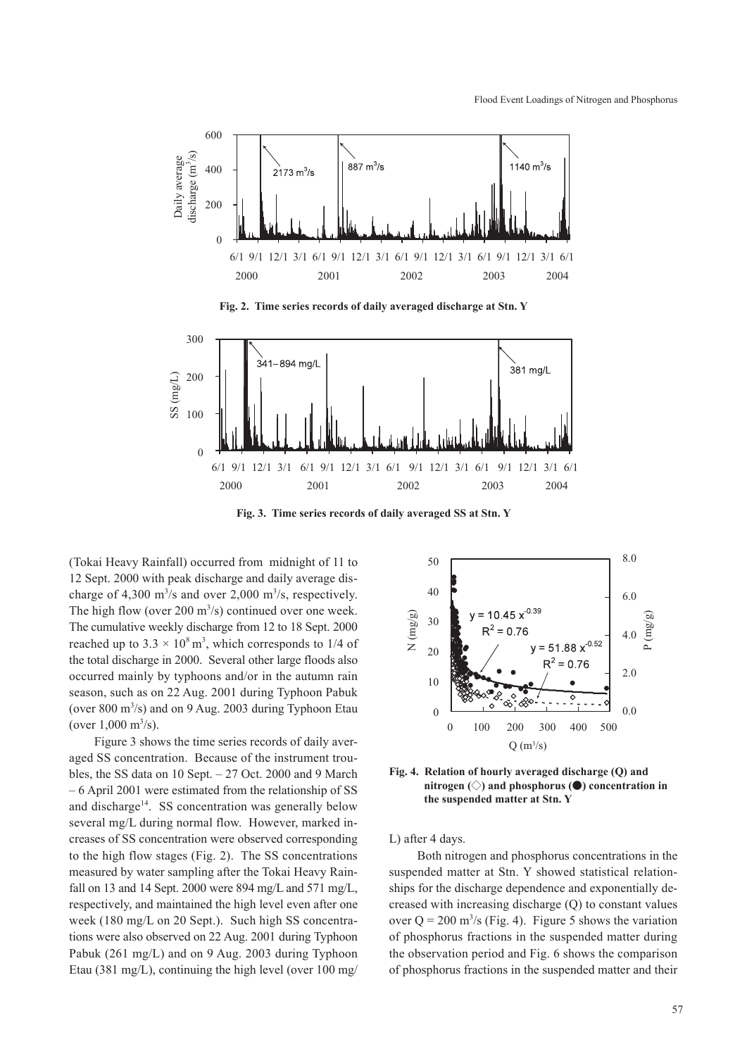

**Fig. 2. Time series records of daily averaged discharge at Stn. Y**



**Fig. 3. Time series records of daily averaged SS at Stn. Y**

(Tokai Heavy Rainfall) occurred from midnight of 11 to 12 Sept. 2000 with peak discharge and daily average discharge of 4,300  $\text{m}^3\text{/s}$  and over 2,000  $\text{m}^3\text{/s}$ , respectively. The high flow (over 200  $\mathrm{m}^3$ /s) continued over one week. The cumulative weekly discharge from 12 to 18 Sept. 2000 reached up to  $3.3 \times 10^8$  m<sup>3</sup>, which corresponds to 1/4 of the total discharge in 2000. Several other large floods also occurred mainly by typhoons and/or in the autumn rain season, such as on 22 Aug. 2001 during Typhoon Pabuk (over 800 m<sup>3</sup>/s) and on 9 Aug. 2003 during Typhoon Etau (over  $1,000 \text{ m}^3/\text{s}$ ).

Figure 3 shows the time series records of daily averaged SS concentration. Because of the instrument troubles, the SS data on 10 Sept. – 27 Oct. 2000 and 9 March – 6 April 2001 were estimated from the relationship of SS and discharge<sup>14</sup>. SS concentration was generally below several mg/L during normal flow. However, marked increases of SS concentration were observed corresponding to the high flow stages (Fig. 2). The SS concentrations measured by water sampling after the Tokai Heavy Rainfall on 13 and 14 Sept. 2000 were 894 mg/L and 571 mg/L, respectively, and maintained the high level even after one week (180 mg/L on 20 Sept.). Such high SS concentrations were also observed on 22 Aug. 2001 during Typhoon Pabuk (261 mg/L) and on 9 Aug. 2003 during Typhoon Etau (381 mg/L), continuing the high level (over 100 mg/



**Fig. 4. Relation of hourly averaged discharge (Q) and nitrogen (◇) and phosphorus (●) concentration in the suspended matter at Stn. Y**

L) after 4 days.

 Both nitrogen and phosphorus concentrations in the suspended matter at Stn. Y showed statistical relationships for the discharge dependence and exponentially decreased with increasing discharge (Q) to constant values over  $Q = 200$  m<sup>3</sup>/s (Fig. 4). Figure 5 shows the variation of phosphorus fractions in the suspended matter during the observation period and Fig. 6 shows the comparison of phosphorus fractions in the suspended matter and their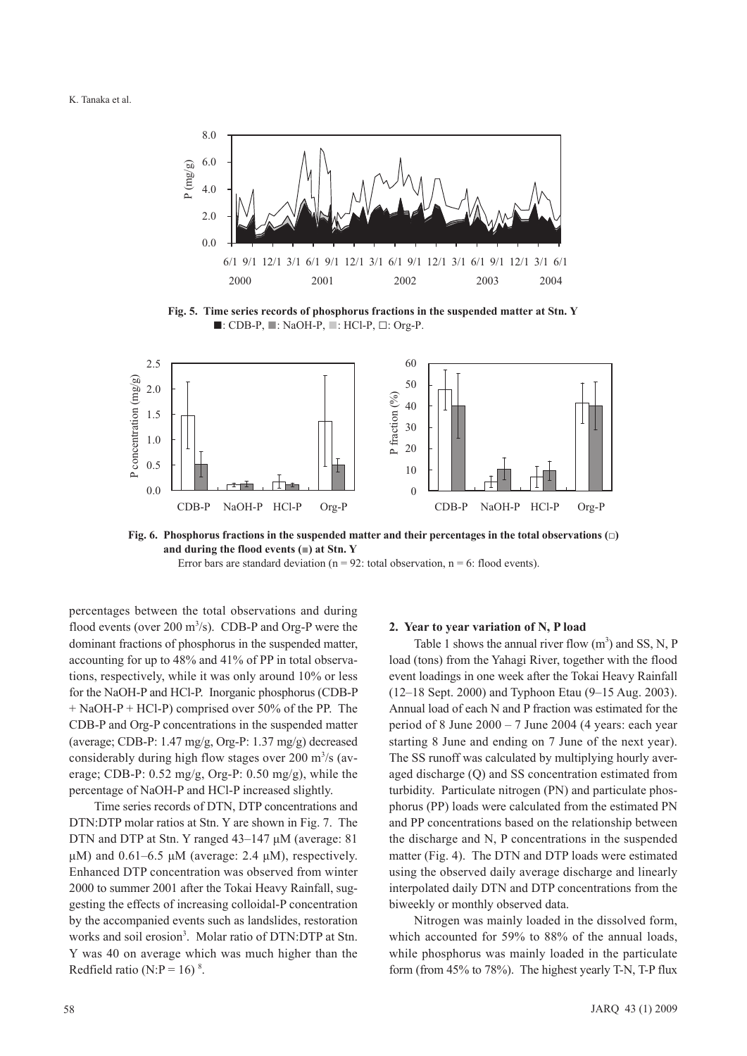

**Fig. 5. Time series records of phosphorus fractions in the suspended matter at Stn. Y** ■: CDB-P, ■: NaOH-P, ■: HCl-P, □: Org-P.



**Fig. 6. Phosphorus fractions in the suspended matter and their percentages in the total observations (□) and during the flood events (■) at Stn. Y** 

Error bars are standard deviation ( $n = 92$ : total observation,  $n = 6$ : flood events).

percentages between the total observations and during flood events (over  $200 \text{ m}^3/\text{s}$ ). CDB-P and Org-P were the dominant fractions of phosphorus in the suspended matter, accounting for up to 48% and 41% of PP in total observations, respectively, while it was only around 10% or less for the NaOH-P and HCl-P. Inorganic phosphorus (CDB-P + NaOH-P + HCl-P) comprised over 50% of the PP. The CDB-P and Org-P concentrations in the suspended matter (average; CDB-P: 1.47 mg/g, Org-P: 1.37 mg/g) decreased considerably during high flow stages over 200  $\mathrm{m}^3/\mathrm{s}$  (average; CDB-P: 0.52 mg/g, Org-P: 0.50 mg/g), while the percentage of NaOH-P and HCl-P increased slightly.

Time series records of DTN, DTP concentrations and DTN:DTP molar ratios at Stn. Y are shown in Fig. 7. The DTN and DTP at Stn. Y ranged 43–147 μM (average: 81 μM) and  $0.61-6.5$  μM (average: 2.4 μM), respectively. Enhanced DTP concentration was observed from winter 2000 to summer 2001 after the Tokai Heavy Rainfall, suggesting the effects of increasing colloidal-P concentration by the accompanied events such as landslides, restoration works and soil erosion<sup>3</sup>. Molar ratio of DTN:DTP at Stn. Y was 40 on average which was much higher than the Redfield ratio (N:P = 16)<sup>8</sup>.

#### **2. Year to year variation of N, P load**

Table 1 shows the annual river flow  $(m^3)$  and SS, N, P load (tons) from the Yahagi River, together with the flood event loadings in one week after the Tokai Heavy Rainfall (12–18 Sept. 2000) and Typhoon Etau (9–15 Aug. 2003). Annual load of each N and P fraction was estimated for the period of 8 June  $2000 - 7$  June  $2004$  (4 years: each year starting 8 June and ending on 7 June of the next year). The SS runoff was calculated by multiplying hourly averaged discharge (Q) and SS concentration estimated from turbidity. Particulate nitrogen (PN) and particulate phosphorus (PP) loads were calculated from the estimated PN and PP concentrations based on the relationship between the discharge and N, P concentrations in the suspended matter (Fig. 4). The DTN and DTP loads were estimated using the observed daily average discharge and linearly interpolated daily DTN and DTP concentrations from the biweekly or monthly observed data.

Nitrogen was mainly loaded in the dissolved form, which accounted for 59% to 88% of the annual loads, while phosphorus was mainly loaded in the particulate form (from 45% to 78%). The highest yearly T-N, T-P flux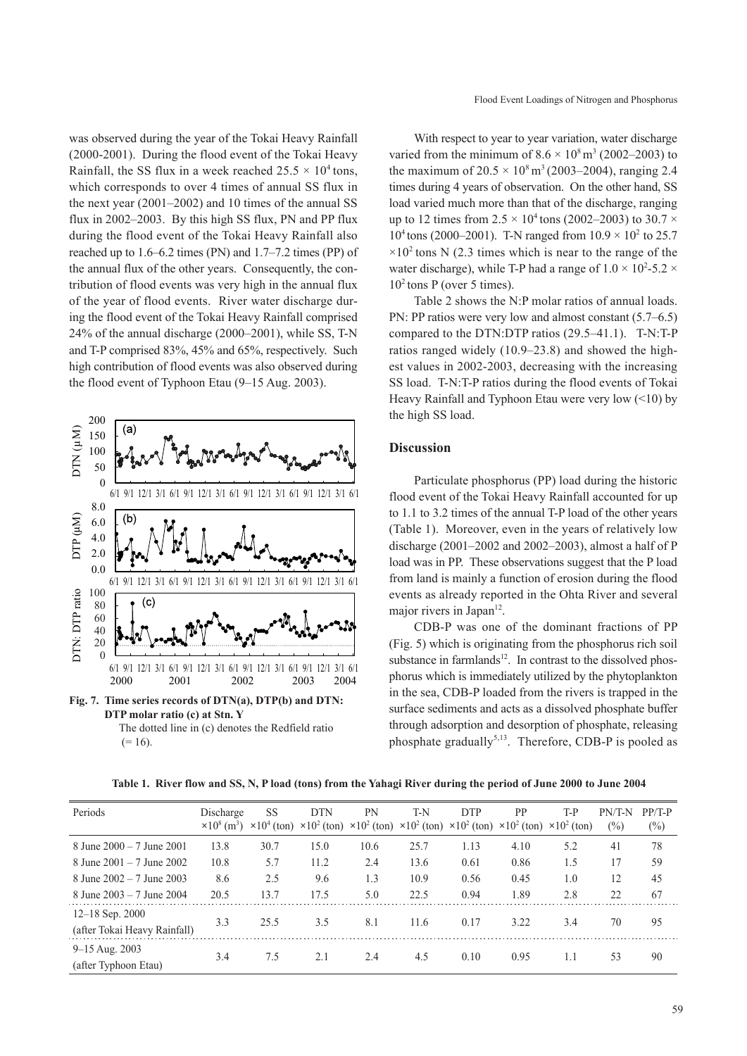was observed during the year of the Tokai Heavy Rainfall (2000-2001). During the flood event of the Tokai Heavy Rainfall, the SS flux in a week reached  $25.5 \times 10^4$  tons, which corresponds to over 4 times of annual SS flux in the next year (2001–2002) and 10 times of the annual SS flux in 2002–2003. By this high SS flux, PN and PP flux during the flood event of the Tokai Heavy Rainfall also reached up to 1.6–6.2 times (PN) and 1.7–7.2 times (PP) of the annual flux of the other years. Consequently, the contribution of flood events was very high in the annual flux of the year of flood events. River water discharge during the flood event of the Tokai Heavy Rainfall comprised 24% of the annual discharge (2000–2001), while SS, T-N and T-P comprised 83%, 45% and 65%, respectively. Such high contribution of flood events was also observed during the flood event of Typhoon Etau (9–15 Aug. 2003).



The dotted line in (c) denotes the Redfield ratio  $(= 16)$ .

With respect to year to year variation, water discharge varied from the minimum of  $8.6 \times 10^8$  m<sup>3</sup> (2002–2003) to the maximum of  $20.5 \times 10^8 \text{ m}^3$  (2003–2004), ranging 2.4 times during 4 years of observation. On the other hand, SS load varied much more than that of the discharge, ranging up to 12 times from  $2.5 \times 10^4$  tons (2002–2003) to 30.7  $\times$ 10<sup>4</sup> tons (2000–2001). T-N ranged from  $10.9 \times 10^2$  to 25.7  $\times 10^2$  tons N (2.3 times which is near to the range of the water discharge), while T-P had a range of  $1.0 \times 10^2$ -5.2  $\times$  $10<sup>2</sup>$  tons P (over 5 times).

Table 2 shows the N:P molar ratios of annual loads. PN: PP ratios were very low and almost constant (5.7–6.5) compared to the DTN:DTP ratios (29.5–41.1). T-N:T-P ratios ranged widely (10.9–23.8) and showed the highest values in 2002-2003, decreasing with the increasing SS load. T-N:T-P ratios during the flood events of Tokai Heavy Rainfall and Typhoon Etau were very low (<10) by the high SS load.

# **Discussion**

Particulate phosphorus (PP) load during the historic flood event of the Tokai Heavy Rainfall accounted for up to 1.1 to 3.2 times of the annual T-P load of the other years (Table 1). Moreover, even in the years of relatively low discharge (2001–2002 and 2002–2003), almost a half of P load was in PP. These observations suggest that the P load from land is mainly a function of erosion during the flood events as already reported in the Ohta River and several major rivers in Japan<sup>12</sup>.

CDB-P was one of the dominant fractions of PP (Fig. 5) which is originating from the phosphorus rich soil substance in farmlands<sup>12</sup>. In contrast to the dissolved phosphorus which is immediately utilized by the phytoplankton in the sea, CDB-P loaded from the rivers is trapped in the surface sediments and acts as a dissolved phosphate buffer through adsorption and desorption of phosphate, releasing phosphate gradually<sup>5,13</sup>. Therefore, CDB-P is pooled as

**Table 1. River flow and SS, N, P load (tons) from the Yahagi River during the period of June 2000 to June 2004**

| Periods                                         | Discharge<br>$\times 10^{8}$ (m <sup>3</sup> ) | <b>SS</b><br>$\times 10^4$ (ton) | <b>DTN</b> | PN   | T-N  | <b>DTP</b><br>$\times 10^{2}$ (ton) $\times 10^{2}$ (ton) $\times 10^{2}$ (ton) $\times 10^{2}$ (ton) $\times 10^{2}$ (ton) $\times 10^{2}$ (ton) | PP   | T-P | PN/T-N<br>$(\%)$ | $PP/T-P$<br>$(\%)$ |
|-------------------------------------------------|------------------------------------------------|----------------------------------|------------|------|------|---------------------------------------------------------------------------------------------------------------------------------------------------|------|-----|------------------|--------------------|
| 8 June $2000 - 7$ June $2001$                   | 13.8                                           | 30.7                             | 15.0       | 10.6 | 25.7 | 1.13                                                                                                                                              | 4.10 | 5.2 | 41               | 78                 |
| 8 June $2001 - 7$ June $2002$                   | 10.8                                           | 5.7                              | 11.2       | 2.4  | 13.6 | 0.61                                                                                                                                              | 0.86 | 1.5 | 17               | 59                 |
| 8 June $2002 - 7$ June $2003$                   | 8.6                                            | 2.5                              | 9.6        | 1.3  | 10.9 | 0.56                                                                                                                                              | 0.45 | 1.0 | 12               | 45                 |
| 8 June $2003 - 7$ June $2004$                   | 20.5                                           | 13.7                             | 17.5       | 5.0  | 22.5 | 0.94                                                                                                                                              | 1.89 | 2.8 | 22               | 67                 |
| 12-18 Sep. 2000<br>(after Tokai Heavy Rainfall) | 3.3                                            | 25.5                             | 3.5        | 8.1  | 11.6 | 0.17                                                                                                                                              | 3.22 | 3.4 | 70               | 95                 |
| 9–15 Aug. 2003<br>(after Typhoon Etau)          | 3.4                                            | 7.5                              | 2.1        | 2.4  | 4.5  | 0.10                                                                                                                                              | 0.95 | 1.1 | 53               | 90                 |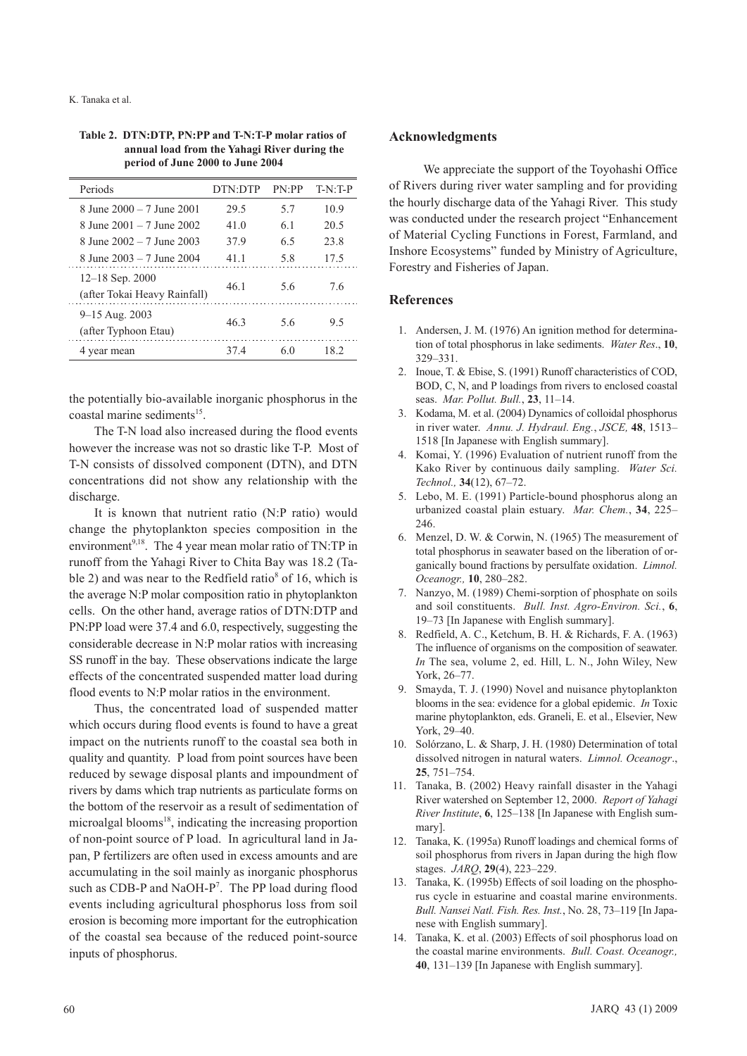| Table 2. DTN:DTP, PN:PP and T-N:T-P molar ratios of |
|-----------------------------------------------------|
| annual load from the Yahagi River during the        |
| period of June 2000 to June 2004                    |

| Periods                                           | DTN DTP | PN:PP | $T-N:TP$ |
|---------------------------------------------------|---------|-------|----------|
| 8 June 2000 - 7 June 2001                         | 29.5    | 57    | 10.9     |
| 8 June $2001 - 7$ June $2002$                     | 41.0    | 61    | 20.5     |
| 8 June 2002 – 7 June 2003                         | 379     | 65    | 23.8     |
| 8 June 2003 – 7 June 2004                         | 41 1    | 5.8   | 17.5     |
| $12-18$ Sep. 2000<br>(after Tokai Heavy Rainfall) | 46 1    | 56    | 76       |
| 9-15 Aug. 2003<br>(after Typhoon Etau)            | 463     | 56    | 9.5      |
| 4 year mean                                       | 374     | 60    | 18.2     |

the potentially bio-available inorganic phosphorus in the coastal marine sediments $15$ .

The T-N load also increased during the flood events however the increase was not so drastic like T-P. Most of T-N consists of dissolved component (DTN), and DTN concentrations did not show any relationship with the discharge.

It is known that nutrient ratio (N:P ratio) would change the phytoplankton species composition in the environment<sup>9,18</sup>. The 4 year mean molar ratio of TN:TP in runoff from the Yahagi River to Chita Bay was 18.2 (Table 2) and was near to the Redfield ratio<sup>8</sup> of 16, which is the average N:P molar composition ratio in phytoplankton cells. On the other hand, average ratios of DTN:DTP and PN:PP load were 37.4 and 6.0, respectively, suggesting the considerable decrease in N:P molar ratios with increasing SS runoff in the bay. These observations indicate the large effects of the concentrated suspended matter load during flood events to N:P molar ratios in the environment.

Thus, the concentrated load of suspended matter which occurs during flood events is found to have a great impact on the nutrients runoff to the coastal sea both in quality and quantity. P load from point sources have been reduced by sewage disposal plants and impoundment of rivers by dams which trap nutrients as particulate forms on the bottom of the reservoir as a result of sedimentation of microalgal blooms<sup>18</sup>, indicating the increasing proportion of non-point source of P load. In agricultural land in Japan, P fertilizers are often used in excess amounts and are accumulating in the soil mainly as inorganic phosphorus such as CDB-P and NaOH-P<sup>7</sup>. The PP load during flood events including agricultural phosphorus loss from soil erosion is becoming more important for the eutrophication of the coastal sea because of the reduced point-source inputs of phosphorus.

# **Acknowledgments**

 We appreciate the support of the Toyohashi Office of Rivers during river water sampling and for providing the hourly discharge data of the Yahagi River. This study was conducted under the research project "Enhancement of Material Cycling Functions in Forest, Farmland, and Inshore Ecosystems" funded by Ministry of Agriculture, Forestry and Fisheries of Japan.

# **References**

- 1. Andersen, J. M. (1976) An ignition method for determination of total phosphorus in lake sediments. *Water Res*., **10**, 329–331.
- 2. Inoue, T. & Ebise, S. (1991) Runoff characteristics of COD, BOD, C, N, and P loadings from rivers to enclosed coastal seas. *Mar. Pollut. Bull.*, **23**, 11–14.
- 3. Kodama, M. et al. (2004) Dynamics of colloidal phosphorus in river water. *Annu. J. Hydraul. Eng.*, *JSCE,* **48**, 1513– 1518 [In Japanese with English summary].
- 4. Komai, Y. (1996) Evaluation of nutrient runoff from the Kako River by continuous daily sampling. *Water Sci. Technol.,* **34**(12), 67–72.
- 5. Lebo, M. E. (1991) Particle-bound phosphorus along an urbanized coastal plain estuary. *Mar. Chem.*, **34**, 225– 246.
- 6. Menzel, D. W. & Corwin, N. (1965) The measurement of total phosphorus in seawater based on the liberation of organically bound fractions by persulfate oxidation. *Limnol. Oceanogr.,* **10**, 280–282.
- 7. Nanzyo, M. (1989) Chemi-sorption of phosphate on soils and soil constituents. *Bull. Inst. Agro-Environ. Sci.*, **6**, 19–73 [In Japanese with English summary].
- 8. Redfield, A. C., Ketchum, B. H. & Richards, F. A. (1963) The influence of organisms on the composition of seawater. *In* The sea, volume 2, ed. Hill, L. N., John Wiley, New York, 26–77.
- 9. Smayda, T. J. (1990) Novel and nuisance phytoplankton blooms in the sea: evidence for a global epidemic. *In* Toxic marine phytoplankton, eds. Graneli, E. et al., Elsevier, New York, 29–40.
- 10. Solόrzano, L. & Sharp, J. H. (1980) Determination of total dissolved nitrogen in natural waters. *Limnol. Oceanogr*., **25**, 751–754.
- 11. Tanaka, B. (2002) Heavy rainfall disaster in the Yahagi River watershed on September 12, 2000. *Report of Yahagi River Institute*, **6**, 125–138 [In Japanese with English summary].
- 12. Tanaka, K. (1995a) Runoff loadings and chemical forms of soil phosphorus from rivers in Japan during the high flow stages. *JARQ*, **29**(4), 223–229.
- 13. Tanaka, K. (1995b) Effects of soil loading on the phosphorus cycle in estuarine and coastal marine environments. *Bull. Nansei Natl. Fish. Res. Inst.*, No. 28, 73–119 [In Japanese with English summary].
- 14. Tanaka, K. et al. (2003) Effects of soil phosphorus load on the coastal marine environments. *Bull. Coast. Oceanogr.,* **40**, 131–139 [In Japanese with English summary].